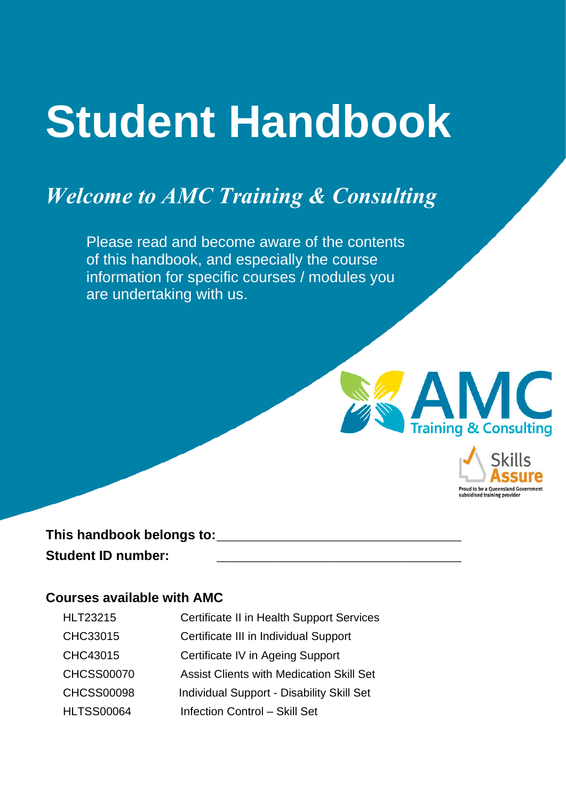# **Student Handbook**

# *Welcome to AMC Training & Consulting*

Please read and become aware of the contents of this handbook, and especially the course information for specific courses / modules you are undertaking with us.



Proud to be a Queensla subsidised training provide

This handbook belongs to: Student ID number:

#### **Courses available with AMC**

| <b>HLT23215</b>   | Certificate II in Health Support Services       |
|-------------------|-------------------------------------------------|
| CHC33015          | Certificate III in Individual Support           |
| CHC43015          | Certificate IV in Ageing Support                |
| <b>CHCSS00070</b> | <b>Assist Clients with Medication Skill Set</b> |
| <b>CHCSS00098</b> | Individual Support - Disability Skill Set       |
| <b>HLTSS00064</b> | <b>Infection Control - Skill Set</b>            |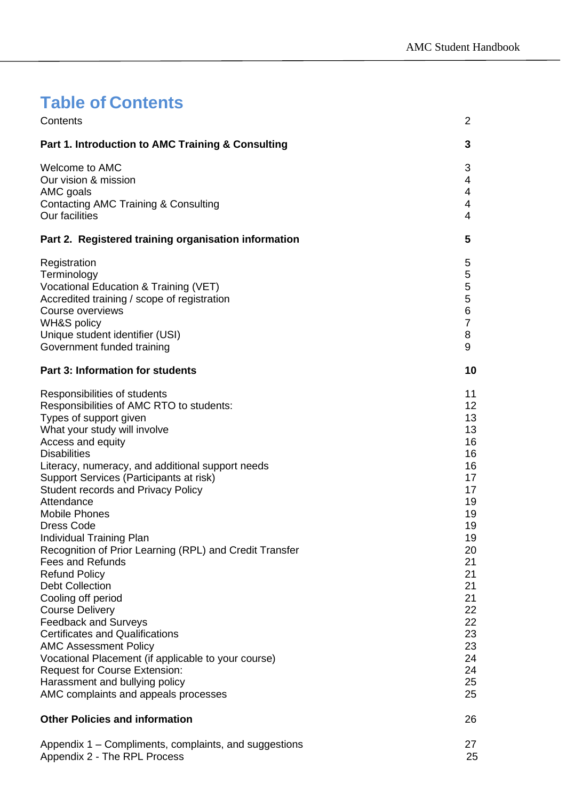# <span id="page-1-0"></span>**Table of Contents**

| Contents                                                                                                                                                                                                                                                                                                                                                                                                                                                                                                                                                                                                                                                                                                                                                                                                                                                                                    | 2                                                                                                                                                        |
|---------------------------------------------------------------------------------------------------------------------------------------------------------------------------------------------------------------------------------------------------------------------------------------------------------------------------------------------------------------------------------------------------------------------------------------------------------------------------------------------------------------------------------------------------------------------------------------------------------------------------------------------------------------------------------------------------------------------------------------------------------------------------------------------------------------------------------------------------------------------------------------------|----------------------------------------------------------------------------------------------------------------------------------------------------------|
| Part 1. Introduction to AMC Training & Consulting                                                                                                                                                                                                                                                                                                                                                                                                                                                                                                                                                                                                                                                                                                                                                                                                                                           | 3                                                                                                                                                        |
| Welcome to AMC<br>Our vision & mission<br>AMC goals<br>Contacting AMC Training & Consulting<br><b>Our facilities</b>                                                                                                                                                                                                                                                                                                                                                                                                                                                                                                                                                                                                                                                                                                                                                                        | 3<br>4<br>4<br>4<br>4                                                                                                                                    |
| Part 2. Registered training organisation information                                                                                                                                                                                                                                                                                                                                                                                                                                                                                                                                                                                                                                                                                                                                                                                                                                        | 5                                                                                                                                                        |
| Registration<br>Terminology<br>Vocational Education & Training (VET)<br>Accredited training / scope of registration<br>Course overviews<br><b>WH&amp;S policy</b><br>Unique student identifier (USI)<br>Government funded training                                                                                                                                                                                                                                                                                                                                                                                                                                                                                                                                                                                                                                                          | 5<br>5<br>5<br>5<br>6<br>$\overline{7}$<br>8<br>9                                                                                                        |
| <b>Part 3: Information for students</b>                                                                                                                                                                                                                                                                                                                                                                                                                                                                                                                                                                                                                                                                                                                                                                                                                                                     | 10                                                                                                                                                       |
| Responsibilities of students<br>Responsibilities of AMC RTO to students:<br>Types of support given<br>What your study will involve<br>Access and equity<br><b>Disabilities</b><br>Literacy, numeracy, and additional support needs<br>Support Services (Participants at risk)<br><b>Student records and Privacy Policy</b><br>Attendance<br><b>Mobile Phones</b><br><b>Dress Code</b><br>Individual Training Plan<br>Recognition of Prior Learning (RPL) and Credit Transfer<br><b>Fees and Refunds</b><br><b>Refund Policy</b><br><b>Debt Collection</b><br>Cooling off period<br><b>Course Delivery</b><br><b>Feedback and Surveys</b><br><b>Certificates and Qualifications</b><br><b>AMC Assessment Policy</b><br>Vocational Placement (if applicable to your course)<br><b>Request for Course Extension:</b><br>Harassment and bullying policy<br>AMC complaints and appeals processes | 11<br>12<br>13<br>13<br>16<br>16<br>16<br>17<br>17<br>19<br>19<br>19<br>19<br>20<br>21<br>21<br>21<br>21<br>22<br>22<br>23<br>23<br>24<br>24<br>25<br>25 |
| <b>Other Policies and information</b>                                                                                                                                                                                                                                                                                                                                                                                                                                                                                                                                                                                                                                                                                                                                                                                                                                                       | 26                                                                                                                                                       |
| Appendix 1 – Compliments, complaints, and suggestions<br>Appendix 2 - The RPL Process                                                                                                                                                                                                                                                                                                                                                                                                                                                                                                                                                                                                                                                                                                                                                                                                       | 27<br>25                                                                                                                                                 |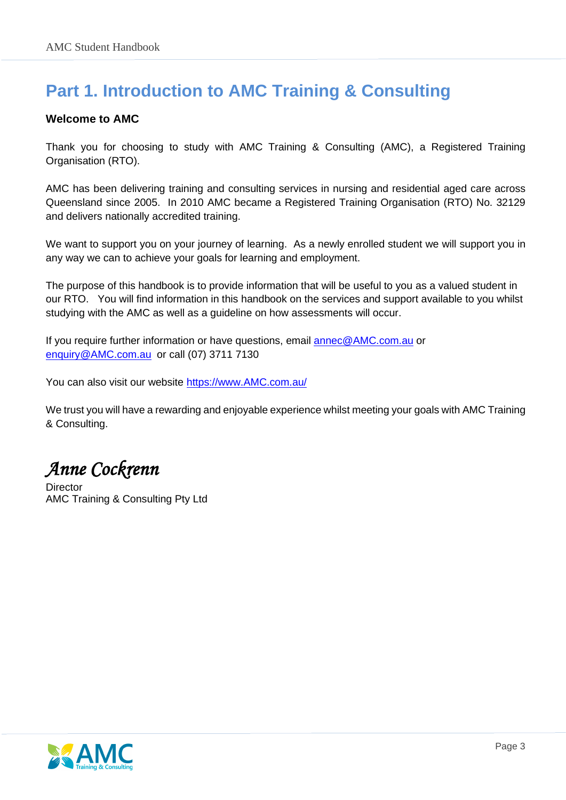## <span id="page-2-0"></span>**Part 1. Introduction to AMC Training & Consulting**

#### <span id="page-2-1"></span>**Welcome to AMC**

Thank you for choosing to study with AMC Training & Consulting (AMC), a Registered Training Organisation (RTO).

AMC has been delivering training and consulting services in nursing and residential aged care across Queensland since 2005. In 2010 AMC became a Registered Training Organisation (RTO) No. 32129 and delivers nationally accredited training.

We want to support you on your journey of learning. As a newly enrolled student we will support you in any way we can to achieve your goals for learning and employment.

The purpose of this handbook is to provide information that will be useful to you as a valued student in our RTO. You will find information in this handbook on the services and support available to you whilst studying with the AMC as well as a guideline on how assessments will occur.

If you require further information or have questions, email [annec@AMC.com.au](mailto:annec@amctc.com.au) or [enquiry@AMC.com.au](mailto:enquiry@amctc.com.au) or call (07) 3711 7130

You can also visit our website [https://www.AMC.com.au/](https://www.amctc.com.au/)

We trust you will have a rewarding and enjoyable experience whilst meeting your goals with AMC Training & Consulting.

*Anne Cockrenn* 

<span id="page-2-2"></span>**Director** AMC Training & Consulting Pty Ltd

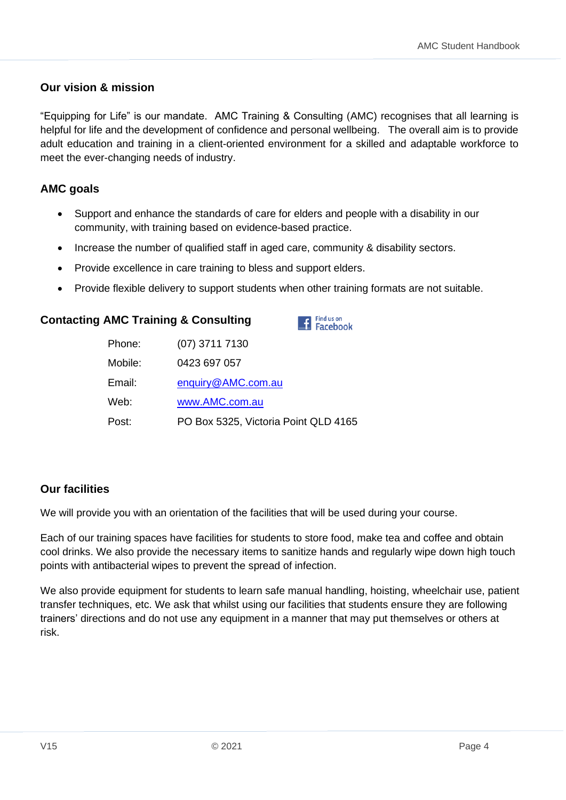#### **Our vision & mission**

"Equipping for Life" is our mandate. AMC Training & Consulting (AMC) recognises that all learning is helpful for life and the development of confidence and personal wellbeing. The overall aim is to provide adult education and training in a client-oriented environment for a skilled and adaptable workforce to meet the ever-changing needs of industry.

#### <span id="page-3-0"></span>**AMC goals**

- Support and enhance the standards of care for elders and people with a disability in our community, with training based on evidence-based practice.
- Increase the number of qualified staff in aged care, community & disability sectors.
- Provide excellence in care training to bless and support elders.
- Provide flexible delivery to support students when other training formats are not suitable.

#### <span id="page-3-1"></span>**Contacting AMC Training & Consulting**



| Phone:  | (07) 3711 7130                       |
|---------|--------------------------------------|
| Mobile: | 0423 697 057                         |
| Email:  | enquiry@AMC.com.au                   |
| Web:    | www.AMC.com.au                       |
| Post:   | PO Box 5325, Victoria Point QLD 4165 |

#### <span id="page-3-2"></span>**Our facilities**

We will provide you with an orientation of the facilities that will be used during your course.

Each of our training spaces have facilities for students to store food, make tea and coffee and obtain cool drinks. We also provide the necessary items to sanitize hands and regularly wipe down high touch points with antibacterial wipes to prevent the spread of infection.

We also provide equipment for students to learn safe manual handling, hoisting, wheelchair use, patient transfer techniques, etc. We ask that whilst using our facilities that students ensure they are following trainers' directions and do not use any equipment in a manner that may put themselves or others at risk.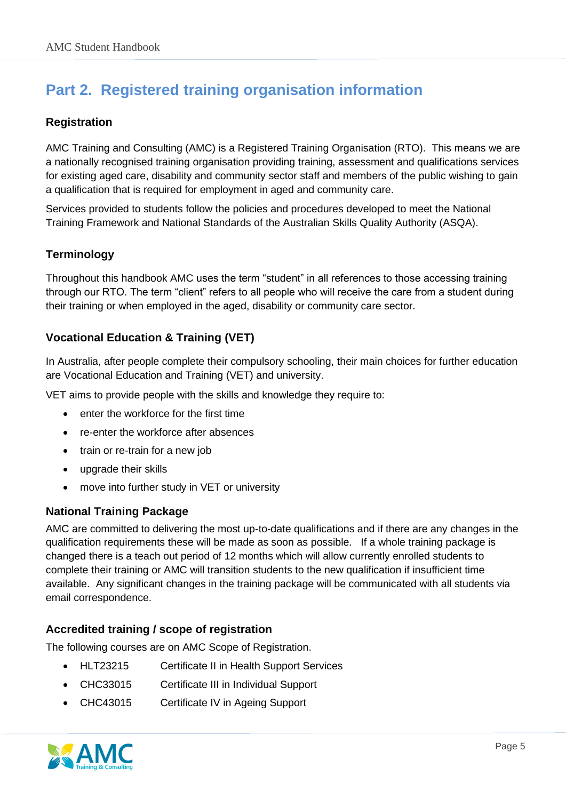## <span id="page-4-0"></span>**Part 2. Registered training organisation information**

#### <span id="page-4-1"></span>**Registration**

AMC Training and Consulting (AMC) is a Registered Training Organisation (RTO). This means we are a nationally recognised training organisation providing training, assessment and qualifications services for existing aged care, disability and community sector staff and members of the public wishing to gain a qualification that is required for employment in aged and community care.

Services provided to students follow the policies and procedures developed to meet the National Training Framework and National Standards of the Australian Skills Quality Authority (ASQA).

#### <span id="page-4-2"></span>**Terminology**

Throughout this handbook AMC uses the term "student" in all references to those accessing training through our RTO. The term "client" refers to all people who will receive the care from a student during their training or when employed in the aged, disability or community care sector.

#### <span id="page-4-3"></span>**Vocational Education & Training (VET)**

In Australia, after people complete their compulsory schooling, their main choices for further education are Vocational Education and Training (VET) and university.

VET aims to provide people with the skills and knowledge they require to:

- enter the workforce for the first time
- re-enter the workforce after absences
- train or re-train for a new job
- upgrade their skills
- move into further study in VET or university

#### **National Training Package**

AMC are committed to delivering the most up-to-date qualifications and if there are any changes in the qualification requirements these will be made as soon as possible. If a whole training package is changed there is a teach out period of 12 months which will allow currently enrolled students to complete their training or AMC will transition students to the new qualification if insufficient time available. Any significant changes in the training package will be communicated with all students via email correspondence.

#### <span id="page-4-4"></span>**Accredited training / scope of registration**

The following courses are on AMC Scope of Registration.

- HLT23215 Certificate II in Health Support Services
- CHC33015 Certificate III in Individual Support
- CHC43015 Certificate IV in Ageing Support

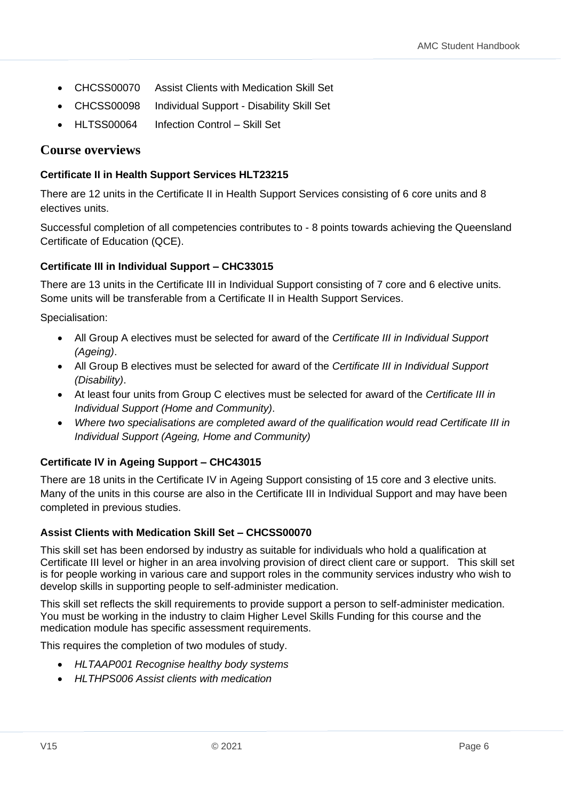- CHCSS00070 Assist Clients with Medication Skill Set
- CHCSS00098 Individual Support Disability Skill Set
- HLTSS00064 Infection Control Skill Set

#### <span id="page-5-0"></span>**Course overviews**

#### **Certificate II in Health Support Services HLT23215**

There are 12 units in the Certificate II in Health Support Services consisting of 6 core units and 8 electives units.

Successful completion of all competencies contributes to - 8 points towards achieving the Queensland Certificate of Education (QCE).

#### **Certificate III in Individual Support – CHC33015**

There are 13 units in the Certificate III in Individual Support consisting of 7 core and 6 elective units. Some units will be transferable from a Certificate II in Health Support Services.

Specialisation:

- All Group A electives must be selected for award of the *Certificate III in Individual Support (Ageing)*.
- All Group B electives must be selected for award of the *Certificate III in Individual Support (Disability)*.
- At least four units from Group C electives must be selected for award of the *Certificate III in Individual Support (Home and Community)*.
- *Where two specialisations are completed award of the qualification would read Certificate III in Individual Support (Ageing, Home and Community)*

#### **Certificate IV in Ageing Support – CHC43015**

There are 18 units in the Certificate IV in Ageing Support consisting of 15 core and 3 elective units. Many of the units in this course are also in the Certificate III in Individual Support and may have been completed in previous studies.

#### **Assist Clients with Medication Skill Set – CHCSS00070**

This skill set has been endorsed by industry as suitable for individuals who hold a qualification at Certificate III level or higher in an area involving provision of direct client care or support. This skill set is for people working in various care and support roles in the community services industry who wish to develop skills in supporting people to self-administer medication.

This skill set reflects the skill requirements to provide support a person to self-administer medication. You must be working in the industry to claim Higher Level Skills Funding for this course and the medication module has specific assessment requirements.

This requires the completion of two modules of study.

- *HLTAAP001 Recognise healthy body systems*
- *HLTHPS006 Assist clients with medication*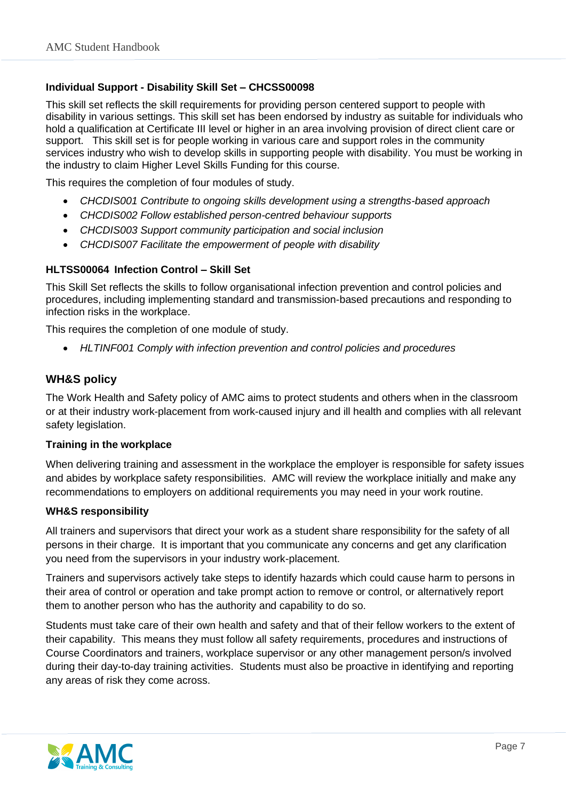#### **Individual Support - Disability Skill Set – CHCSS00098**

This skill set reflects the skill requirements for providing person centered support to people with disability in various settings. This skill set has been endorsed by industry as suitable for individuals who hold a qualification at Certificate III level or higher in an area involving provision of direct client care or support. This skill set is for people working in various care and support roles in the community services industry who wish to develop skills in supporting people with disability. You must be working in the industry to claim Higher Level Skills Funding for this course.

This requires the completion of four modules of study.

- *CHCDIS001 Contribute to ongoing skills development using a strengths-based approach*
- *CHCDIS002 Follow established person-centred behaviour supports*
- *CHCDIS003 Support community participation and social inclusion*
- *CHCDIS007 Facilitate the empowerment of people with disability*

#### **HLTSS00064 Infection Control – Skill Set**

This Skill Set reflects the skills to follow organisational infection prevention and control policies and procedures, including implementing standard and transmission-based precautions and responding to infection risks in the workplace.

This requires the completion of one module of study.

• *HLTINF001 Comply with infection prevention and control policies and procedures*

#### <span id="page-6-0"></span>**WH&S policy**

The Work Health and Safety policy of AMC aims to protect students and others when in the classroom or at their industry work-placement from work-caused injury and ill health and complies with all relevant safety legislation.

#### **Training in the workplace**

When delivering training and assessment in the workplace the employer is responsible for safety issues and abides by workplace safety responsibilities. AMC will review the workplace initially and make any recommendations to employers on additional requirements you may need in your work routine.

#### **WH&S responsibility**

All trainers and supervisors that direct your work as a student share responsibility for the safety of all persons in their charge. It is important that you communicate any concerns and get any clarification you need from the supervisors in your industry work-placement.

Trainers and supervisors actively take steps to identify hazards which could cause harm to persons in their area of control or operation and take prompt action to remove or control, or alternatively report them to another person who has the authority and capability to do so.

Students must take care of their own health and safety and that of their fellow workers to the extent of their capability. This means they must follow all safety requirements, procedures and instructions of Course Coordinators and trainers, workplace supervisor or any other management person/s involved during their day-to-day training activities. Students must also be proactive in identifying and reporting any areas of risk they come across.

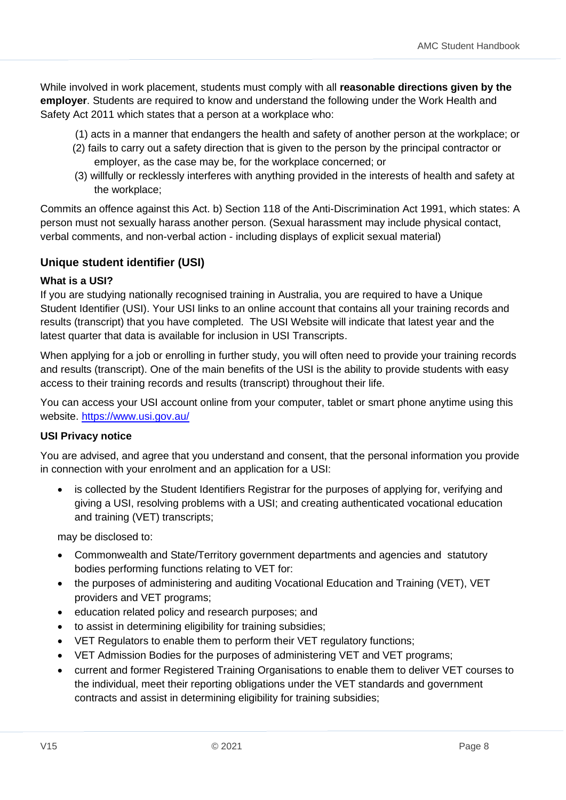While involved in work placement, students must comply with all **reasonable directions given by the employer**. Students are required to know and understand the following under the Work Health and Safety Act 2011 which states that a person at a workplace who:

- (1) acts in a manner that endangers the health and safety of another person at the workplace; or
- (2) fails to carry out a safety direction that is given to the person by the principal contractor or employer, as the case may be, for the workplace concerned; or
- (3) willfully or recklessly interferes with anything provided in the interests of health and safety at the workplace;

Commits an offence against this Act. b) Section 118 of the Anti-Discrimination Act 1991, which states: A person must not sexually harass another person. (Sexual harassment may include physical contact, verbal comments, and non-verbal action - including displays of explicit sexual material)

#### <span id="page-7-0"></span>**Unique student identifier (USI)**

#### **What is a USI?**

If you are studying [nationally recognised training](http://usi.gov.au/Students/Pages/nationally-recognised-training.aspx) in Australia, you are required to have a Unique Student Identifier (USI). Your USI links to an online account that contains all your [training records and](http://usi.gov.au/Students/Pages/training-records-and-results.aspx)  [results](http://usi.gov.au/Students/Pages/training-records-and-results.aspx) (transcript) that you have completed. The USI Website will indicate that latest year and the latest quarter that data is available for inclusion in USI Transcripts.

When applying for a job or enrolling in further study, you will often need to provide your training records and results (transcript). One of the main benefits of the USI is the ability to provide students with easy access to their training records and results (transcript) throughout their life.

You can access your USI account online from your computer, tablet or smart phone anytime using this website.<https://www.usi.gov.au/>

#### **USI Privacy notice**

You are advised, and agree that you understand and consent, that the personal information you provide in connection with your enrolment and an application for a USI:

is collected by the Student Identifiers Registrar for the purposes of applying for, verifying and giving a USI, resolving problems with a USI; and creating authenticated vocational education and training (VET) transcripts;

may be disclosed to:

- Commonwealth and State/Territory government departments and agencies and statutory bodies performing functions relating to VET for:
- the purposes of administering and auditing Vocational Education and Training (VET), VET providers and VET programs;
- education related policy and research purposes; and
- to assist in determining eligibility for training subsidies;
- VET Regulators to enable them to perform their VET regulatory functions;
- VET Admission Bodies for the purposes of administering VET and VET programs;
- current and former Registered Training Organisations to enable them to deliver VET courses to the individual, meet their reporting obligations under the VET standards and government contracts and assist in determining eligibility for training subsidies;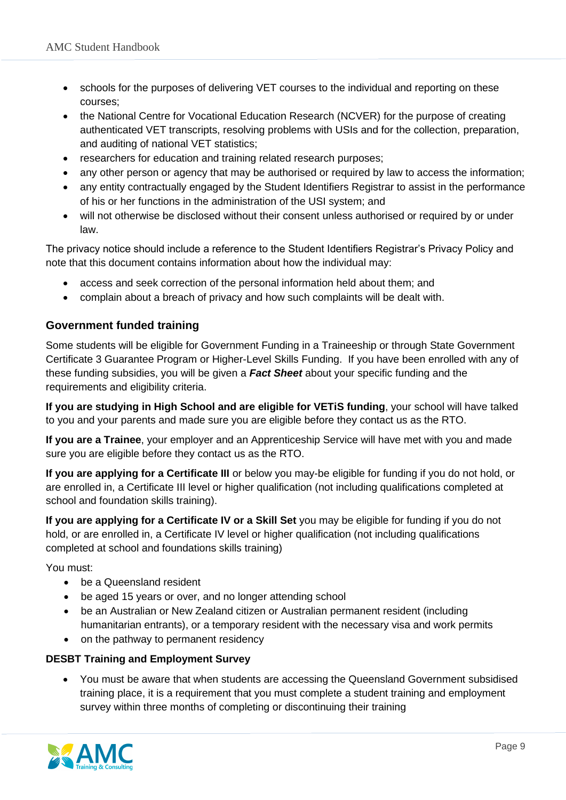- schools for the purposes of delivering VET courses to the individual and reporting on these courses;
- the National Centre for Vocational Education Research (NCVER) for the purpose of creating authenticated VET transcripts, resolving problems with USIs and for the collection, preparation, and auditing of national VET statistics;
- researchers for education and training related research purposes;
- any other person or agency that may be authorised or required by law to access the information;
- any entity contractually engaged by the Student Identifiers Registrar to assist in the performance of his or her functions in the administration of the USI system; and
- will not otherwise be disclosed without their consent unless authorised or required by or under law.

The privacy notice should include a reference to the Student Identifiers Registrar's Privacy Policy and note that this document contains information about how the individual may:

- access and seek correction of the personal information held about them; and
- complain about a breach of privacy and how such complaints will be dealt with.

#### <span id="page-8-0"></span>**Government funded training**

Some students will be eligible for Government Funding in a Traineeship or through State Government Certificate 3 Guarantee Program or Higher-Level Skills Funding. If you have been enrolled with any of these funding subsidies, you will be given a *Fact Sheet* about your specific funding and the requirements and eligibility criteria.

**If you are studying in High School and are eligible for VETiS funding**, your school will have talked to you and your parents and made sure you are eligible before they contact us as the RTO.

**If you are a Trainee**, your employer and an Apprenticeship Service will have met with you and made sure you are eligible before they contact us as the RTO.

**If you are applying for a Certificate III** or below you may-be eligible for funding if you do not hold, or are enrolled in, a Certificate III level or higher qualification (not including qualifications completed at school and foundation skills training).

**If you are applying for a Certificate IV or a Skill Set** you may be eligible for funding if you do not hold, or are enrolled in, a Certificate IV level or higher qualification (not including qualifications completed at school and foundations skills training)

You must:

- be a Queensland resident
- be aged 15 years or over, and no longer attending school
- be an Australian or New Zealand citizen or Australian permanent resident (including humanitarian entrants), or a temporary resident with the necessary visa and work permits
- on the pathway to permanent residency

#### **DESBT Training and Employment Survey**

• You must be aware that when students are accessing the Queensland Government subsidised training place, it is a requirement that you must complete a student training and employment survey within three months of completing or discontinuing their training

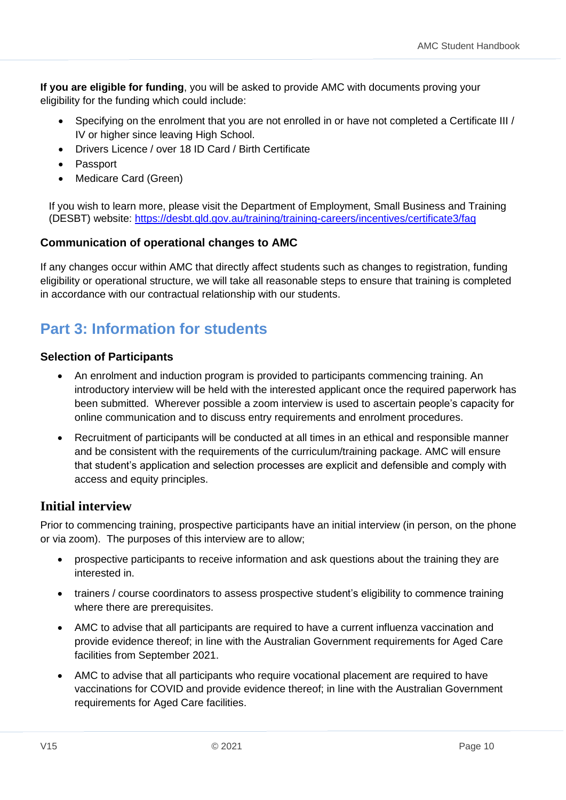**If you are eligible for funding**, you will be asked to provide AMC with documents proving your eligibility for the funding which could include:

- Specifying on the enrolment that you are not enrolled in or have not completed a Certificate III / IV or higher since leaving High School.
- Drivers Licence / over 18 ID Card / Birth Certificate
- Passport
- Medicare Card (Green)

If you wish to learn more, please visit the [Department of Employment, Small Business and Training](https://desbt.qld.gov.au/) (DESBT) website:<https://desbt.qld.gov.au/training/training-careers/incentives/certificate3/faq>

#### **Communication of operational changes to AMC**

If any changes occur within AMC that directly affect students such as changes to registration, funding eligibility or operational structure, we will take all reasonable steps to ensure that training is completed in accordance with our contractual relationship with our students.

## <span id="page-9-0"></span>**Part 3: Information for students**

#### **Selection of Participants**

- An enrolment and induction program is provided to participants commencing training. An introductory interview will be held with the interested applicant once the required paperwork has been submitted. Wherever possible a zoom interview is used to ascertain people's capacity for online communication and to discuss entry requirements and enrolment procedures.
- Recruitment of participants will be conducted at all times in an ethical and responsible manner and be consistent with the requirements of the curriculum/training package. AMC will ensure that student's application and selection processes are explicit and defensible and comply with access and equity principles.

#### **Initial interview**

Prior to commencing training, prospective participants have an initial interview (in person, on the phone or via zoom). The purposes of this interview are to allow;

- prospective participants to receive information and ask questions about the training they are interested in.
- trainers / course coordinators to assess prospective student's eligibility to commence training where there are prerequisites.
- AMC to advise that all participants are required to have a current influenza vaccination and provide evidence thereof; in line with the Australian Government requirements for Aged Care facilities from September 2021.
- AMC to advise that all participants who require vocational placement are required to have vaccinations for COVID and provide evidence thereof; in line with the Australian Government requirements for Aged Care facilities.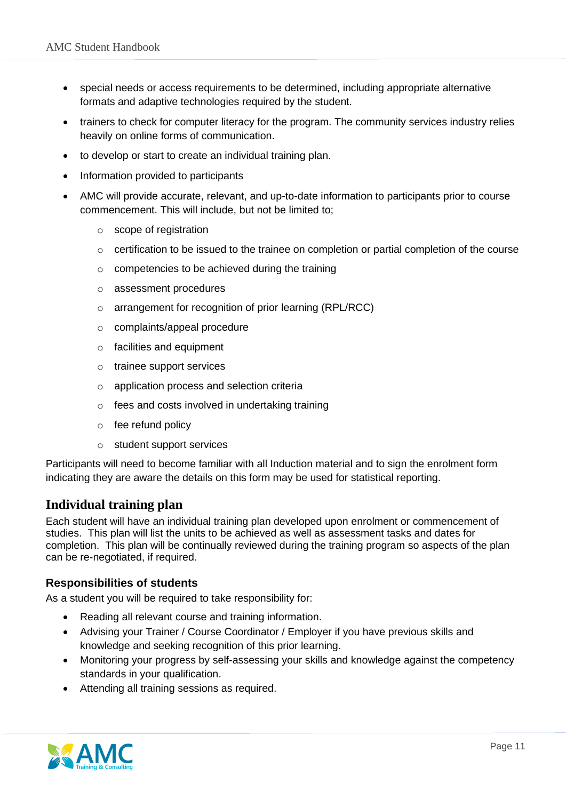- special needs or access requirements to be determined, including appropriate alternative formats and adaptive technologies required by the student.
- trainers to check for computer literacy for the program. The community services industry relies heavily on online forms of communication.
- to develop or start to create an individual training plan.
- Information provided to participants
- AMC will provide accurate, relevant, and up-to-date information to participants prior to course commencement. This will include, but not be limited to;
	- o scope of registration
	- $\circ$  certification to be issued to the trainee on completion or partial completion of the course
	- o competencies to be achieved during the training
	- o assessment procedures
	- o arrangement for recognition of prior learning (RPL/RCC)
	- o complaints/appeal procedure
	- o facilities and equipment
	- o trainee support services
	- o application process and selection criteria
	- o fees and costs involved in undertaking training
	- o fee refund policy
	- o student support services

Participants will need to become familiar with all Induction material and to sign the enrolment form indicating they are aware the details on this form may be used for statistical reporting.

#### **Individual training plan**

Each student will have an individual training plan developed upon enrolment or commencement of studies. This plan will list the units to be achieved as well as assessment tasks and dates for completion. This plan will be continually reviewed during the training program so aspects of the plan can be re-negotiated, if required.

#### <span id="page-10-0"></span>**Responsibilities of students**

As a student you will be required to take responsibility for:

- Reading all relevant course and training information.
- Advising your Trainer / Course Coordinator / Employer if you have previous skills and knowledge and seeking recognition of this prior learning.
- Monitoring your progress by self-assessing your skills and knowledge against the competency standards in your qualification.
- Attending all training sessions as required.

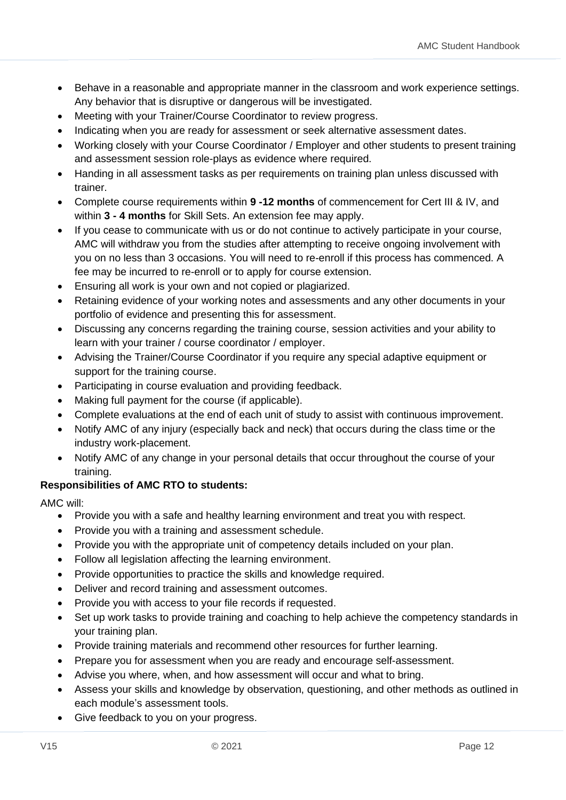- Behave in a reasonable and appropriate manner in the classroom and work experience settings. Any behavior that is disruptive or dangerous will be investigated.
- Meeting with your Trainer/Course Coordinator to review progress.
- Indicating when you are ready for assessment or seek alternative assessment dates.
- Working closely with your Course Coordinator / Employer and other students to present training and assessment session role-plays as evidence where required.
- Handing in all assessment tasks as per requirements on training plan unless discussed with trainer.
- Complete course requirements within **9 -12 months** of commencement for Cert III & IV, and within **3 - 4 months** for Skill Sets. An extension fee may apply.
- If you cease to communicate with us or do not continue to actively participate in your course, AMC will withdraw you from the studies after attempting to receive ongoing involvement with you on no less than 3 occasions. You will need to re-enroll if this process has commenced. A fee may be incurred to re-enroll or to apply for course extension.
- Ensuring all work is your own and not copied or plagiarized.
- Retaining evidence of your working notes and assessments and any other documents in your portfolio of evidence and presenting this for assessment.
- Discussing any concerns regarding the training course, session activities and your ability to learn with your trainer / course coordinator / employer.
- Advising the Trainer/Course Coordinator if you require any special adaptive equipment or support for the training course.
- Participating in course evaluation and providing feedback.
- Making full payment for the course (if applicable).
- Complete evaluations at the end of each unit of study to assist with continuous improvement.
- Notify AMC of any injury (especially back and neck) that occurs during the class time or the industry work-placement.
- Notify AMC of any change in your personal details that occur throughout the course of your training.

#### <span id="page-11-0"></span>**Responsibilities of AMC RTO to students:**

AMC will:

- Provide you with a safe and healthy learning environment and treat you with respect.
- Provide you with a training and assessment schedule.
- Provide you with the appropriate unit of competency details included on your plan.
- Follow all legislation affecting the learning environment.
- Provide opportunities to practice the skills and knowledge required.
- Deliver and record training and assessment outcomes.
- Provide you with access to your file records if requested.
- Set up work tasks to provide training and coaching to help achieve the competency standards in your training plan.
- Provide training materials and recommend other resources for further learning.
- Prepare you for assessment when you are ready and encourage self-assessment.
- Advise you where, when, and how assessment will occur and what to bring.
- Assess your skills and knowledge by observation, questioning, and other methods as outlined in each module's assessment tools.
- Give feedback to you on your progress.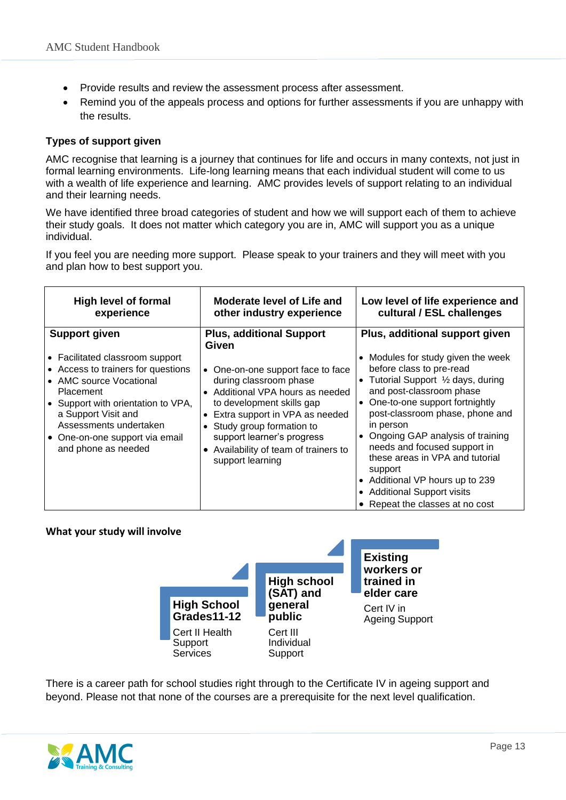- Provide results and review the assessment process after assessment.
- Remind you of the appeals process and options for further assessments if you are unhappy with the results.

#### <span id="page-12-0"></span>**Types of support given**

AMC recognise that learning is a journey that continues for life and occurs in many contexts, not just in formal learning environments. Life-long learning means that each individual student will come to us with a wealth of life experience and learning. AMC provides levels of support relating to an individual and their learning needs.

We have identified three broad categories of student and how we will support each of them to achieve their study goals. It does not matter which category you are in, AMC will support you as a unique individual.

If you feel you are needing more support. Please speak to your trainers and they will meet with you and plan how to best support you.

| <b>High level of formal</b><br>experience                                                                                                                                                                                                                             | Moderate level of Life and<br>other industry experience                                                                                                                                                                                                                                 | Low level of life experience and<br>cultural / ESL challenges                                                                                                                                                                                                                                                                                                                                                                                   |
|-----------------------------------------------------------------------------------------------------------------------------------------------------------------------------------------------------------------------------------------------------------------------|-----------------------------------------------------------------------------------------------------------------------------------------------------------------------------------------------------------------------------------------------------------------------------------------|-------------------------------------------------------------------------------------------------------------------------------------------------------------------------------------------------------------------------------------------------------------------------------------------------------------------------------------------------------------------------------------------------------------------------------------------------|
| <b>Support given</b>                                                                                                                                                                                                                                                  | <b>Plus, additional Support</b><br>Given                                                                                                                                                                                                                                                | Plus, additional support given                                                                                                                                                                                                                                                                                                                                                                                                                  |
| • Facilitated classroom support<br>• Access to trainers for questions<br>• AMC source Vocational<br>Placement<br>$\bullet$ Support with orientation to VPA,<br>a Support Visit and<br>Assessments undertaken<br>• One-on-one support via email<br>and phone as needed | One-on-one support face to face<br>during classroom phase<br>• Additional VPA hours as needed<br>to development skills gap<br>• Extra support in VPA as needed<br>• Study group formation to<br>support learner's progress<br>• Availability of team of trainers to<br>support learning | • Modules for study given the week<br>before class to pre-read<br>• Tutorial Support 1/2 days, during<br>and post-classroom phase<br>One-to-one support fortnightly<br>post-classroom phase, phone and<br>in person<br>Ongoing GAP analysis of training<br>needs and focused support in<br>these areas in VPA and tutorial<br>support<br>• Additional VP hours up to 239<br><b>Additional Support visits</b><br>• Repeat the classes at no cost |

#### <span id="page-12-1"></span>**What your study will involve**



There is a career path for school studies right through to the Certificate IV in ageing support and beyond. Please not that none of the courses are a prerequisite for the next level qualification.

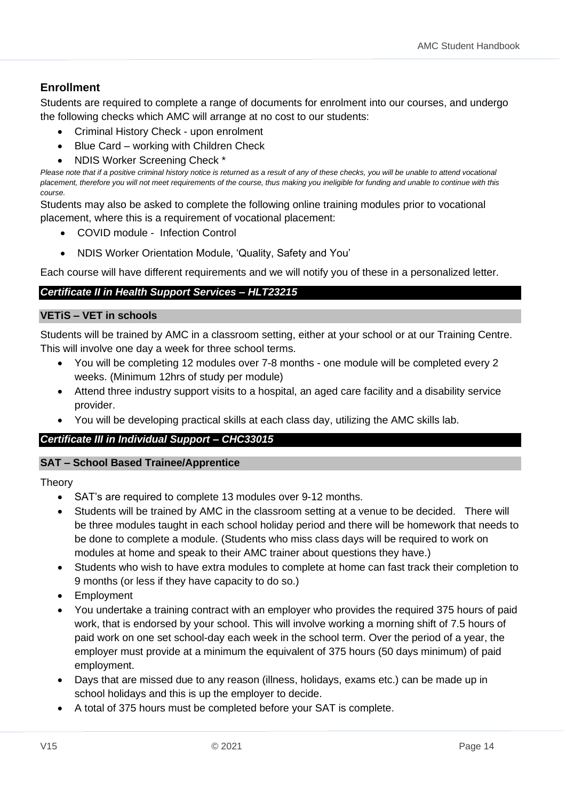#### **Enrollment**

Students are required to complete a range of documents for enrolment into our courses, and undergo the following checks which AMC will arrange at no cost to our students:

- Criminal History Check upon enrolment
- Blue Card working with Children Check
- NDIS Worker Screening Check \*

Please note that if a positive criminal history notice is returned as a result of any of these checks, you will be unable to attend vocational *placement, therefore you will not meet requirements of the course, thus making you ineligible for funding and unable to continue with this course.*

Students may also be asked to complete the following online training modules prior to vocational placement, where this is a requirement of vocational placement:

- COVID module Infection Control
- NDIS Worker Orientation Module, 'Quality, Safety and You'

Each course will have different requirements and we will notify you of these in a personalized letter.

#### *Certificate II in Health Support Services – HLT23215*

#### **VETiS – VET in schools**

Students will be trained by AMC in a classroom setting, either at your school or at our Training Centre. This will involve one day a week for three school terms.

- You will be completing 12 modules over 7-8 months one module will be completed every 2 weeks. (Minimum 12hrs of study per module)
- Attend three industry support visits to a hospital, an aged care facility and a disability service provider.
- You will be developing practical skills at each class day, utilizing the AMC skills lab.

#### *Certificate III in Individual Support – CHC33015*

#### **SAT – School Based Trainee/Apprentice**

Theory

- SAT's are required to complete 13 modules over 9-12 months.
- Students will be trained by AMC in the classroom setting at a venue to be decided. There will be three modules taught in each school holiday period and there will be homework that needs to be done to complete a module. (Students who miss class days will be required to work on modules at home and speak to their AMC trainer about questions they have.)
- Students who wish to have extra modules to complete at home can fast track their completion to 9 months (or less if they have capacity to do so.)
- **Employment**
- You undertake a training contract with an employer who provides the required 375 hours of paid work, that is endorsed by your school. This will involve working a morning shift of 7.5 hours of paid work on one set school-day each week in the school term. Over the period of a year, the employer must provide at a minimum the equivalent of 375 hours (50 days minimum) of paid employment.
- Days that are missed due to any reason (illness, holidays, exams etc.) can be made up in school holidays and this is up the employer to decide.
- A total of 375 hours must be completed before your SAT is complete.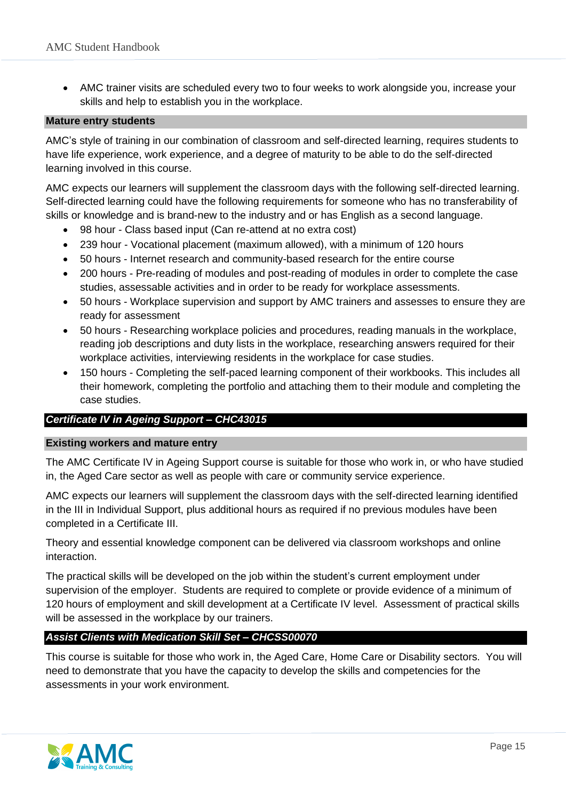• AMC trainer visits are scheduled every two to four weeks to work alongside you, increase your skills and help to establish you in the workplace.

#### **Mature entry students**

AMC's style of training in our combination of classroom and self-directed learning, requires students to have life experience, work experience, and a degree of maturity to be able to do the self-directed learning involved in this course.

AMC expects our learners will supplement the classroom days with the following self-directed learning. Self-directed learning could have the following requirements for someone who has no transferability of skills or knowledge and is brand-new to the industry and or has English as a second language.

- 98 hour Class based input (Can re-attend at no extra cost)
- 239 hour Vocational placement (maximum allowed), with a minimum of 120 hours
- 50 hours Internet research and community-based research for the entire course
- 200 hours Pre-reading of modules and post-reading of modules in order to complete the case studies, assessable activities and in order to be ready for workplace assessments.
- 50 hours Workplace supervision and support by AMC trainers and assesses to ensure they are ready for assessment
- 50 hours Researching workplace policies and procedures, reading manuals in the workplace, reading job descriptions and duty lists in the workplace, researching answers required for their workplace activities, interviewing residents in the workplace for case studies.
- 150 hours Completing the self-paced learning component of their workbooks. This includes all their homework, completing the portfolio and attaching them to their module and completing the case studies.

#### *Certificate IV in Ageing Support – CHC43015*

#### **Existing workers and mature entry**

The AMC Certificate IV in Ageing Support course is suitable for those who work in, or who have studied in, the Aged Care sector as well as people with care or community service experience.

AMC expects our learners will supplement the classroom days with the self-directed learning identified in the III in Individual Support, plus additional hours as required if no previous modules have been completed in a Certificate III.

Theory and essential knowledge component can be delivered via classroom workshops and online interaction.

The practical skills will be developed on the job within the student's current employment under supervision of the employer. Students are required to complete or provide evidence of a minimum of 120 hours of employment and skill development at a Certificate IV level. Assessment of practical skills will be assessed in the workplace by our trainers.

#### *Assist Clients with Medication Skill Set – CHCSS00070*

This course is suitable for those who work in, the Aged Care, Home Care or Disability sectors. You will need to demonstrate that you have the capacity to develop the skills and competencies for the assessments in your work environment.

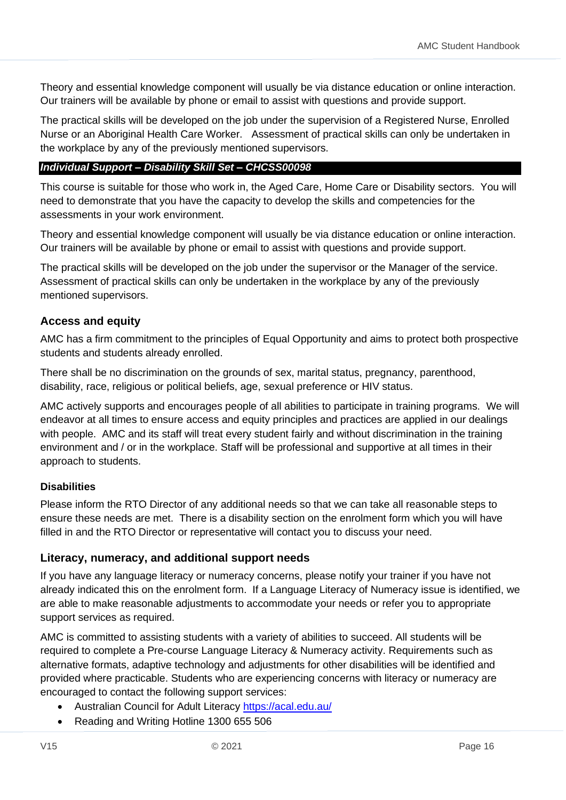Theory and essential knowledge component will usually be via distance education or online interaction. Our trainers will be available by phone or email to assist with questions and provide support.

The practical skills will be developed on the job under the supervision of a Registered Nurse, Enrolled Nurse or an Aboriginal Health Care Worker. Assessment of practical skills can only be undertaken in the workplace by any of the previously mentioned supervisors.

#### *Individual Support – Disability Skill Set – CHCSS00098*

This course is suitable for those who work in, the Aged Care, Home Care or Disability sectors. You will need to demonstrate that you have the capacity to develop the skills and competencies for the assessments in your work environment.

Theory and essential knowledge component will usually be via distance education or online interaction. Our trainers will be available by phone or email to assist with questions and provide support.

The practical skills will be developed on the job under the supervisor or the Manager of the service. Assessment of practical skills can only be undertaken in the workplace by any of the previously mentioned supervisors.

#### <span id="page-15-0"></span>**Access and equity**

AMC has a firm commitment to the principles of Equal Opportunity and aims to protect both prospective students and students already enrolled.

There shall be no discrimination on the grounds of sex, marital status, pregnancy, parenthood, disability, race, religious or political beliefs, age, sexual preference or HIV status.

AMC actively supports and encourages people of all abilities to participate in training programs. We will endeavor at all times to ensure access and equity principles and practices are applied in our dealings with people. AMC and its staff will treat every student fairly and without discrimination in the training environment and / or in the workplace. Staff will be professional and supportive at all times in their approach to students.

#### <span id="page-15-1"></span>**Disabilities**

Please inform the RTO Director of any additional needs so that we can take all reasonable steps to ensure these needs are met. There is a disability section on the enrolment form which you will have filled in and the RTO Director or representative will contact you to discuss your need.

#### <span id="page-15-2"></span>**Literacy, numeracy, and additional support needs**

If you have any language literacy or numeracy concerns, please notify your trainer if you have not already indicated this on the enrolment form. If a Language Literacy of Numeracy issue is identified, we are able to make reasonable adjustments to accommodate your needs or refer you to appropriate support services as required.

AMC is committed to assisting students with a variety of abilities to succeed. All students will be required to complete a Pre-course Language Literacy & Numeracy activity. Requirements such as alternative formats, adaptive technology and adjustments for other disabilities will be identified and provided where practicable. Students who are experiencing concerns with literacy or numeracy are encouraged to contact the following support services:

- Australian Council for Adult Literacy<https://acal.edu.au/>
- Reading and Writing Hotline 1300 655 506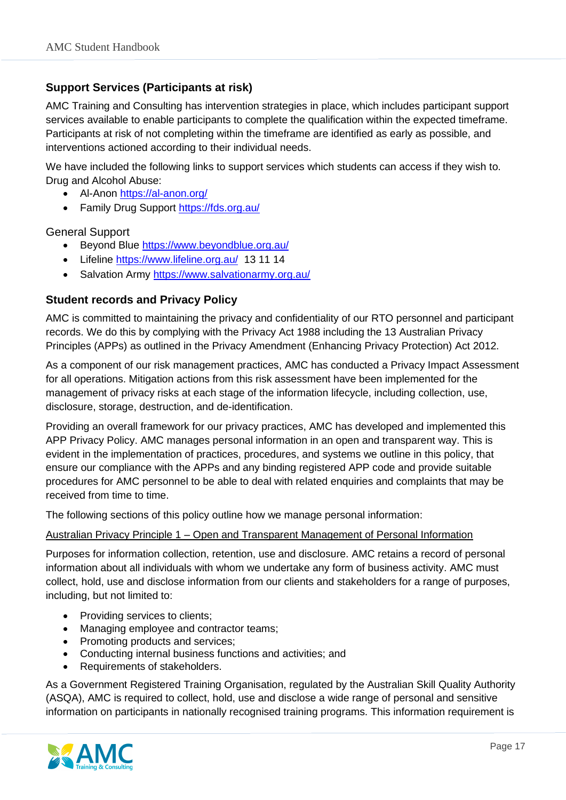#### <span id="page-16-0"></span>**Support Services (Participants at risk)**

AMC Training and Consulting has intervention strategies in place, which includes participant support services available to enable participants to complete the qualification within the expected timeframe. Participants at risk of not completing within the timeframe are identified as early as possible, and interventions actioned according to their individual needs.

We have included the following links to support services which students can access if they wish to. Drug and Alcohol Abuse:

- Al-Anon<https://al-anon.org/>
- Family Drug Support<https://fds.org.au/>

General Support

- Beyond Blue<https://www.beyondblue.org.au/>
- Lifeline<https://www.lifeline.org.au/>13 11 14
- Salvation Army<https://www.salvationarmy.org.au/>

#### <span id="page-16-1"></span>**Student records and Privacy Policy**

AMC is committed to maintaining the privacy and confidentiality of our RTO personnel and participant records. We do this by complying with the Privacy Act 1988 including the 13 Australian Privacy Principles (APPs) as outlined in the Privacy Amendment (Enhancing Privacy Protection) Act 2012.

As a component of our risk management practices, AMC has conducted a Privacy Impact Assessment for all operations. Mitigation actions from this risk assessment have been implemented for the management of privacy risks at each stage of the information lifecycle, including collection, use, disclosure, storage, destruction, and de-identification.

Providing an overall framework for our privacy practices, AMC has developed and implemented this APP Privacy Policy. AMC manages personal information in an open and transparent way. This is evident in the implementation of practices, procedures, and systems we outline in this policy, that ensure our compliance with the APPs and any binding registered APP code and provide suitable procedures for AMC personnel to be able to deal with related enquiries and complaints that may be received from time to time.

The following sections of this policy outline how we manage personal information:

#### Australian Privacy Principle 1 – Open and Transparent Management of Personal Information

Purposes for information collection, retention, use and disclosure. AMC retains a record of personal information about all individuals with whom we undertake any form of business activity. AMC must collect, hold, use and disclose information from our clients and stakeholders for a range of purposes, including, but not limited to:

- Providing services to clients;
- Managing employee and contractor teams;
- Promoting products and services:
- Conducting internal business functions and activities; and
- Requirements of stakeholders.

As a Government Registered Training Organisation, regulated by the Australian Skill Quality Authority (ASQA), AMC is required to collect, hold, use and disclose a wide range of personal and sensitive information on participants in nationally recognised training programs. This information requirement is

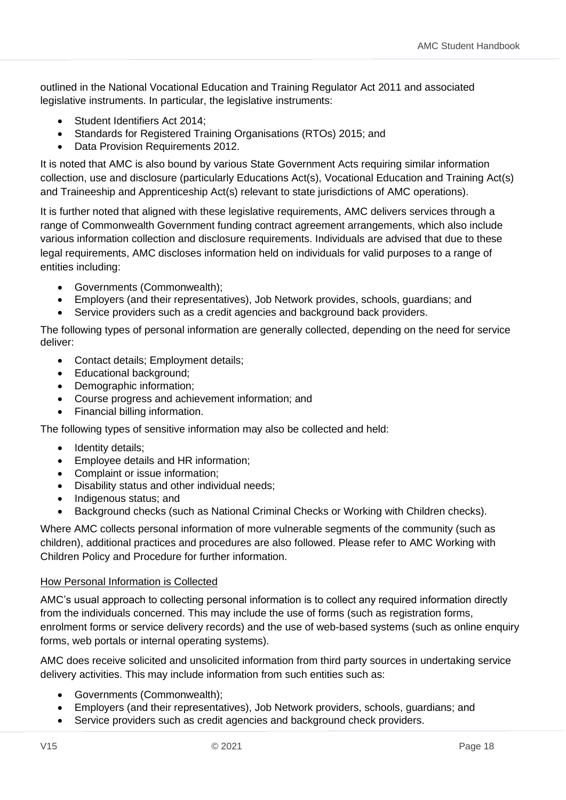outlined in the National Vocational Education and Training Regulator Act 2011 and associated legislative instruments. In particular, the legislative instruments:

- Student Identifiers Act 2014:
- Standards for Registered Training Organisations (RTOs) 2015; and
- Data Provision Requirements 2012.

It is noted that AMC is also bound by various State Government Acts requiring similar information collection, use and disclosure (particularly Educations Act(s), Vocational Education and Training Act(s) and Traineeship and Apprenticeship Act(s) relevant to state jurisdictions of AMC operations).

It is further noted that aligned with these legislative requirements, AMC delivers services through a range of Commonwealth Government funding contract agreement arrangements, which also include various information collection and disclosure requirements. Individuals are advised that due to these legal requirements, AMC discloses information held on individuals for valid purposes to a range of entities including:

- Governments (Commonwealth);
- Employers (and their representatives), Job Network provides, schools, guardians; and
- Service providers such as a credit agencies and background back providers.

The following types of personal information are generally collected, depending on the need for service deliver:

- Contact details; Employment details;
- Educational background;
- Demographic information;
- Course progress and achievement information; and
- Financial billing information.

The following types of sensitive information may also be collected and held:

- Identity details;
- Employee details and HR information;
- Complaint or issue information;
- Disability status and other individual needs;
- Indigenous status; and
- Background checks (such as National Criminal Checks or Working with Children checks).

Where AMC collects personal information of more vulnerable segments of the community (such as children), additional practices and procedures are also followed. Please refer to AMC Working with Children Policy and Procedure for further information.

#### How Personal Information is Collected

AMC's usual approach to collecting personal information is to collect any required information directly from the individuals concerned. This may include the use of forms (such as registration forms, enrolment forms or service delivery records) and the use of web-based systems (such as online enquiry forms, web portals or internal operating systems).

AMC does receive solicited and unsolicited information from third party sources in undertaking service delivery activities. This may include information from such entities such as:

- Governments (Commonwealth);
- Employers (and their representatives), Job Network providers, schools, guardians; and
- Service providers such as credit agencies and background check providers.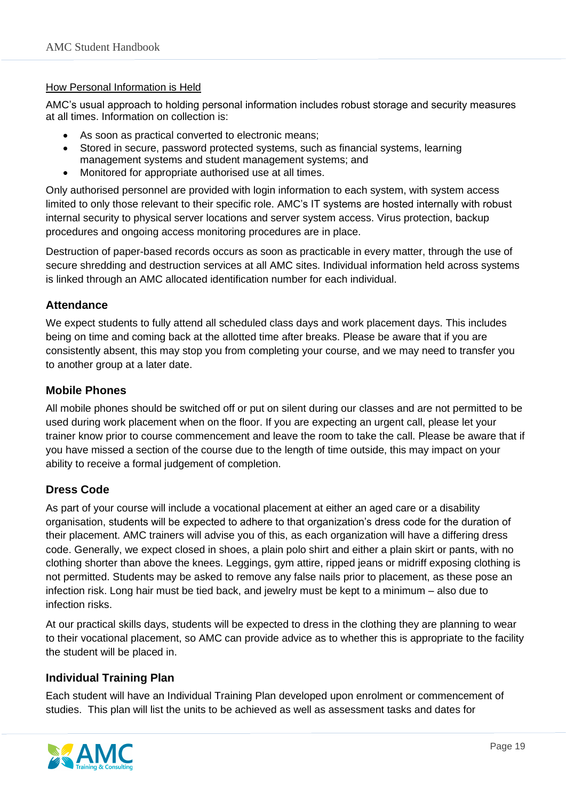#### How Personal Information is Held

AMC's usual approach to holding personal information includes robust storage and security measures at all times. Information on collection is:

- As soon as practical converted to electronic means;
- Stored in secure, password protected systems, such as financial systems, learning management systems and student management systems; and
- Monitored for appropriate authorised use at all times.

Only authorised personnel are provided with login information to each system, with system access limited to only those relevant to their specific role. AMC's IT systems are hosted internally with robust internal security to physical server locations and server system access. Virus protection, backup procedures and ongoing access monitoring procedures are in place.

Destruction of paper-based records occurs as soon as practicable in every matter, through the use of secure shredding and destruction services at all AMC sites. Individual information held across systems is linked through an AMC allocated identification number for each individual.

#### <span id="page-18-0"></span>**Attendance**

We expect students to fully attend all scheduled class days and work placement days. This includes being on time and coming back at the allotted time after breaks. Please be aware that if you are consistently absent, this may stop you from completing your course, and we may need to transfer you to another group at a later date.

#### <span id="page-18-1"></span>**Mobile Phones**

All mobile phones should be switched off or put on silent during our classes and are not permitted to be used during work placement when on the floor. If you are expecting an urgent call, please let your trainer know prior to course commencement and leave the room to take the call. Please be aware that if you have missed a section of the course due to the length of time outside, this may impact on your ability to receive a formal judgement of completion.

#### <span id="page-18-2"></span>**Dress Code**

As part of your course will include a vocational placement at either an aged care or a disability organisation, students will be expected to adhere to that organization's dress code for the duration of their placement. AMC trainers will advise you of this, as each organization will have a differing dress code. Generally, we expect closed in shoes, a plain polo shirt and either a plain skirt or pants, with no clothing shorter than above the knees. Leggings, gym attire, ripped jeans or midriff exposing clothing is not permitted. Students may be asked to remove any false nails prior to placement, as these pose an infection risk. Long hair must be tied back, and jewelry must be kept to a minimum – also due to infection risks.

At our practical skills days, students will be expected to dress in the clothing they are planning to wear to their vocational placement, so AMC can provide advice as to whether this is appropriate to the facility the student will be placed in.

#### <span id="page-18-3"></span>**Individual Training Plan**

Each student will have an Individual Training Plan developed upon enrolment or commencement of studies. This plan will list the units to be achieved as well as assessment tasks and dates for

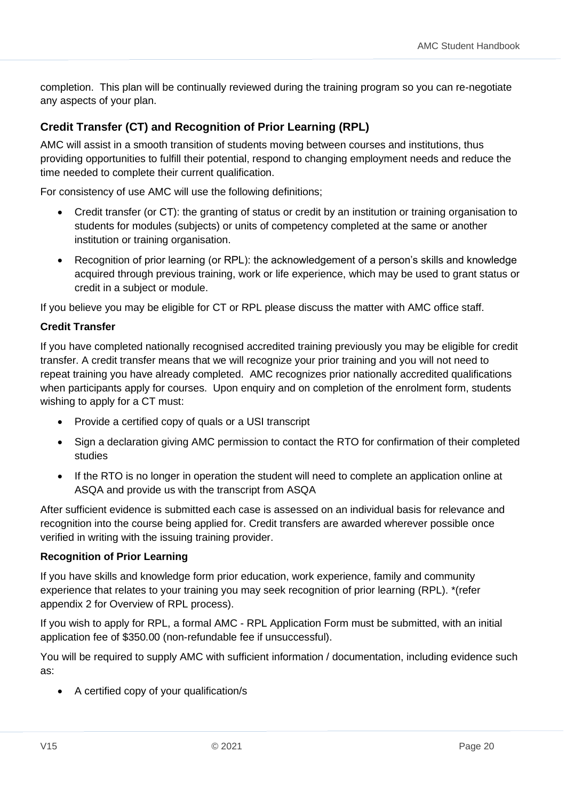completion. This plan will be continually reviewed during the training program so you can re-negotiate any aspects of your plan.

#### <span id="page-19-0"></span>**Credit Transfer (CT) and Recognition of Prior Learning (RPL)**

AMC will assist in a smooth transition of students moving between courses and institutions, thus providing opportunities to fulfill their potential, respond to changing employment needs and reduce the time needed to complete their current qualification.

For consistency of use AMC will use the following definitions;

- Credit transfer (or CT): the granting of status or credit by an institution or training organisation to students for modules (subjects) or units of competency completed at the same or another institution or training organisation.
- Recognition of prior learning (or RPL): the acknowledgement of a person's skills and knowledge acquired through previous training, work or life experience, which may be used to grant status or credit in a subject or module.

If you believe you may be eligible for CT or RPL please discuss the matter with AMC office staff.

#### **Credit Transfer**

If you have completed nationally recognised accredited training previously you may be eligible for credit transfer. A credit transfer means that we will recognize your prior training and you will not need to repeat training you have already completed. AMC recognizes prior nationally accredited qualifications when participants apply for courses. Upon enquiry and on completion of the enrolment form, students wishing to apply for a CT must:

- Provide a certified copy of quals or a USI transcript
- Sign a declaration giving AMC permission to contact the RTO for confirmation of their completed studies
- If the RTO is no longer in operation the student will need to complete an application online at ASQA and provide us with the transcript from ASQA

After sufficient evidence is submitted each case is assessed on an individual basis for relevance and recognition into the course being applied for. Credit transfers are awarded wherever possible once verified in writing with the issuing training provider.

#### **Recognition of Prior Learning**

If you have skills and knowledge form prior education, work experience, family and community experience that relates to your training you may seek recognition of prior learning (RPL). \*(refer appendix 2 for Overview of RPL process).

If you wish to apply for RPL, a formal AMC - RPL Application Form must be submitted, with an initial application fee of \$350.00 (non-refundable fee if unsuccessful).

You will be required to supply AMC with sufficient information / documentation, including evidence such as:

• A certified copy of your qualification/s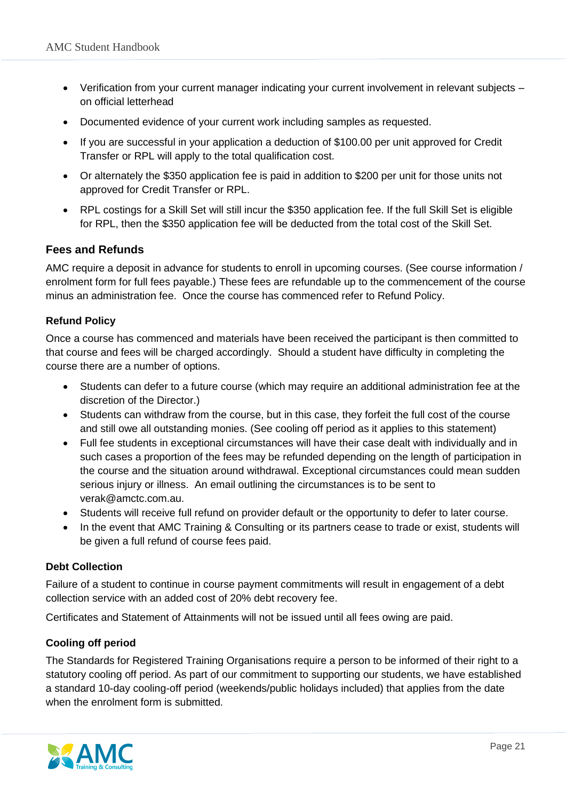- Verification from your current manager indicating your current involvement in relevant subjects on official letterhead
- Documented evidence of your current work including samples as requested.
- If you are successful in your application a deduction of \$100.00 per unit approved for Credit Transfer or RPL will apply to the total qualification cost.
- Or alternately the \$350 application fee is paid in addition to \$200 per unit for those units not approved for Credit Transfer or RPL.
- RPL costings for a Skill Set will still incur the \$350 application fee. If the full Skill Set is eligible for RPL, then the \$350 application fee will be deducted from the total cost of the Skill Set.

#### <span id="page-20-0"></span>**Fees and Refunds**

AMC require a deposit in advance for students to enroll in upcoming courses. (See course information / enrolment form for full fees payable.) These fees are refundable up to the commencement of the course minus an administration fee. Once the course has commenced refer to Refund Policy.

#### <span id="page-20-1"></span>**Refund Policy**

Once a course has commenced and materials have been received the participant is then committed to that course and fees will be charged accordingly. Should a student have difficulty in completing the course there are a number of options.

- Students can defer to a future course (which may require an additional administration fee at the discretion of the Director.)
- Students can withdraw from the course, but in this case, they forfeit the full cost of the course and still owe all outstanding monies. (See cooling off period as it applies to this statement)
- Full fee students in exceptional circumstances will have their case dealt with individually and in such cases a proportion of the fees may be refunded depending on the length of participation in the course and the situation around withdrawal. Exceptional circumstances could mean sudden serious injury or illness. An email outlining the circumstances is to be sent to verak@amctc.com.au.
- Students will receive full refund on provider default or the opportunity to defer to later course.
- In the event that AMC Training & Consulting or its partners cease to trade or exist, students will be given a full refund of course fees paid.

#### <span id="page-20-2"></span>**Debt Collection**

Failure of a student to continue in course payment commitments will result in engagement of a debt collection service with an added cost of 20% debt recovery fee.

Certificates and Statement of Attainments will not be issued until all fees owing are paid.

#### <span id="page-20-3"></span>**Cooling off period**

The Standards for Registered Training Organisations require a person to be informed of their right to a statutory cooling off period. As part of our commitment to supporting our students, we have established a standard 10-day cooling-off period (weekends/public holidays included) that applies from the date when the enrolment form is submitted.

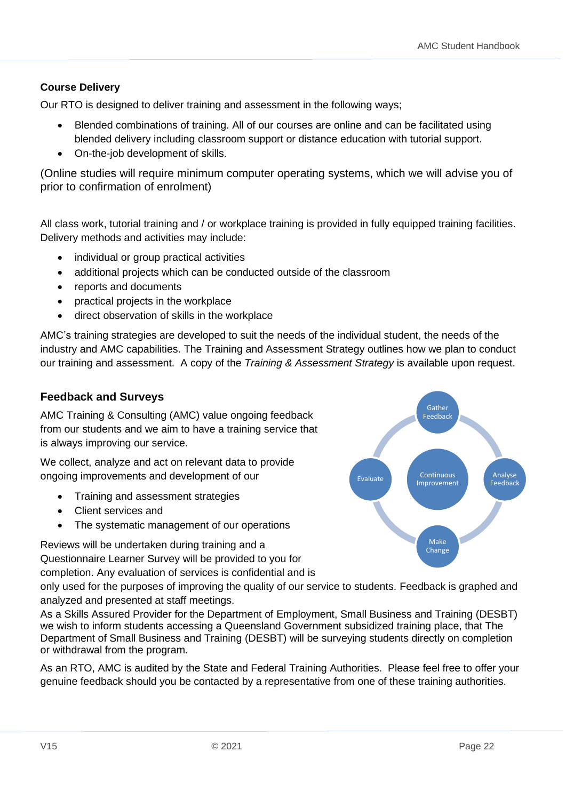#### <span id="page-21-0"></span>**Course Delivery**

Our RTO is designed to deliver training and assessment in the following ways;

- Blended combinations of training. All of our courses are online and can be facilitated using blended delivery including classroom support or distance education with tutorial support.
- On-the-job development of skills.

(Online studies will require minimum computer operating systems, which we will advise you of prior to confirmation of enrolment)

All class work, tutorial training and / or workplace training is provided in fully equipped training facilities. Delivery methods and activities may include:

- individual or group practical activities
- additional projects which can be conducted outside of the classroom
- reports and documents
- practical projects in the workplace
- direct observation of skills in the workplace

AMC's training strategies are developed to suit the needs of the individual student, the needs of the industry and AMC capabilities. The Training and Assessment Strategy outlines how we plan to conduct our training and assessment. A copy of the *Training & Assessment Strategy* is available upon request.

#### <span id="page-21-1"></span>**Feedback and Surveys**

AMC Training & Consulting (AMC) value ongoing feedback from our students and we aim to have a training service that is always improving our service.

We collect, analyze and act on relevant data to provide ongoing improvements and development of our

- Training and assessment strategies
- Client services and
- The systematic management of our operations

Reviews will be undertaken during training and a Questionnaire Learner Survey will be provided to you for

completion. Any evaluation of services is confidential and is

only used for the purposes of improving the quality of our service to students. Feedback is graphed and analyzed and presented at staff meetings.

As a Skills Assured Provider for the Department of Employment, Small Business and Training (DESBT) we wish to inform students accessing a Queensland Government subsidized training place, that The Department of Small Business and Training (DESBT) will be surveying students directly on completion or withdrawal from the program.

As an RTO, AMC is audited by the State and Federal Training Authorities. Please feel free to offer your genuine feedback should you be contacted by a representative from one of these training authorities.

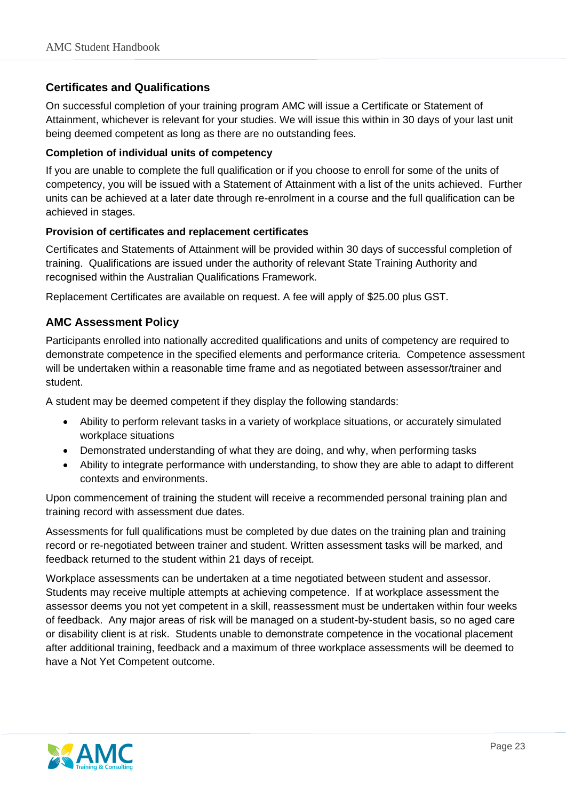#### <span id="page-22-0"></span>**Certificates and Qualifications**

On successful completion of your training program AMC will issue a Certificate or Statement of Attainment, whichever is relevant for your studies. We will issue this within in 30 days of your last unit being deemed competent as long as there are no outstanding fees.

#### **Completion of individual units of competency**

If you are unable to complete the full qualification or if you choose to enroll for some of the units of competency, you will be issued with a Statement of Attainment with a list of the units achieved. Further units can be achieved at a later date through re-enrolment in a course and the full qualification can be achieved in stages.

#### **Provision of certificates and replacement certificates**

Certificates and Statements of Attainment will be provided within 30 days of successful completion of training. Qualifications are issued under the authority of relevant State Training Authority and recognised within the Australian Qualifications Framework.

Replacement Certificates are available on request. A fee will apply of \$25.00 plus GST.

#### <span id="page-22-1"></span>**AMC Assessment Policy**

Participants enrolled into nationally accredited qualifications and units of competency are required to demonstrate competence in the specified elements and performance criteria. Competence assessment will be undertaken within a reasonable time frame and as negotiated between assessor/trainer and student.

A student may be deemed competent if they display the following standards:

- Ability to perform relevant tasks in a variety of workplace situations, or accurately simulated workplace situations
- Demonstrated understanding of what they are doing, and why, when performing tasks
- Ability to integrate performance with understanding, to show they are able to adapt to different contexts and environments.

Upon commencement of training the student will receive a recommended personal training plan and training record with assessment due dates.

Assessments for full qualifications must be completed by due dates on the training plan and training record or re-negotiated between trainer and student. Written assessment tasks will be marked, and feedback returned to the student within 21 days of receipt.

Workplace assessments can be undertaken at a time negotiated between student and assessor. Students may receive multiple attempts at achieving competence. If at workplace assessment the assessor deems you not yet competent in a skill, reassessment must be undertaken within four weeks of feedback. Any major areas of risk will be managed on a student-by-student basis, so no aged care or disability client is at risk. Students unable to demonstrate competence in the vocational placement after additional training, feedback and a maximum of three workplace assessments will be deemed to have a Not Yet Competent outcome.

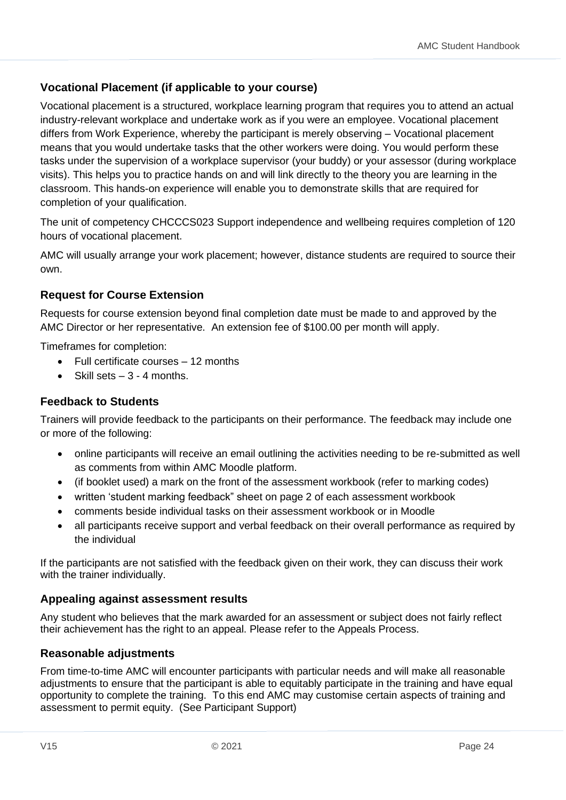#### <span id="page-23-0"></span>**Vocational Placement (if applicable to your course)**

Vocational placement is a structured, workplace learning program that requires you to attend an actual industry-relevant workplace and undertake work as if you were an employee. Vocational placement differs from Work Experience, whereby the participant is merely observing – Vocational placement means that you would undertake tasks that the other workers were doing. You would perform these tasks under the supervision of a workplace supervisor (your buddy) or your assessor (during workplace visits). This helps you to practice hands on and will link directly to the theory you are learning in the classroom. This hands-on experience will enable you to demonstrate skills that are required for completion of your qualification.

The unit of competency CHCCCS023 Support independence and wellbeing requires completion of 120 hours of vocational placement.

AMC will usually arrange your work placement; however, distance students are required to source their own.

#### <span id="page-23-1"></span>**Request for Course Extension**

Requests for course extension beyond final completion date must be made to and approved by the AMC Director or her representative. An extension fee of \$100.00 per month will apply.

Timeframes for completion:

- Full certificate courses 12 months
- Skill sets  $-3 4$  months.

#### **Feedback to Students**

Trainers will provide feedback to the participants on their performance. The feedback may include one or more of the following:

- online participants will receive an email outlining the activities needing to be re-submitted as well as comments from within AMC Moodle platform.
- (if booklet used) a mark on the front of the assessment workbook (refer to marking codes)
- written 'student marking feedback" sheet on page 2 of each assessment workbook
- comments beside individual tasks on their assessment workbook or in Moodle
- all participants receive support and verbal feedback on their overall performance as required by the individual

If the participants are not satisfied with the feedback given on their work, they can discuss their work with the trainer individually.

#### **Appealing against assessment results**

Any student who believes that the mark awarded for an assessment or subject does not fairly reflect their achievement has the right to an appeal. Please refer to the Appeals Process.

#### **Reasonable adjustments**

From time-to-time AMC will encounter participants with particular needs and will make all reasonable adjustments to ensure that the participant is able to equitably participate in the training and have equal opportunity to complete the training. To this end AMC may customise certain aspects of training and assessment to permit equity. (See Participant Support)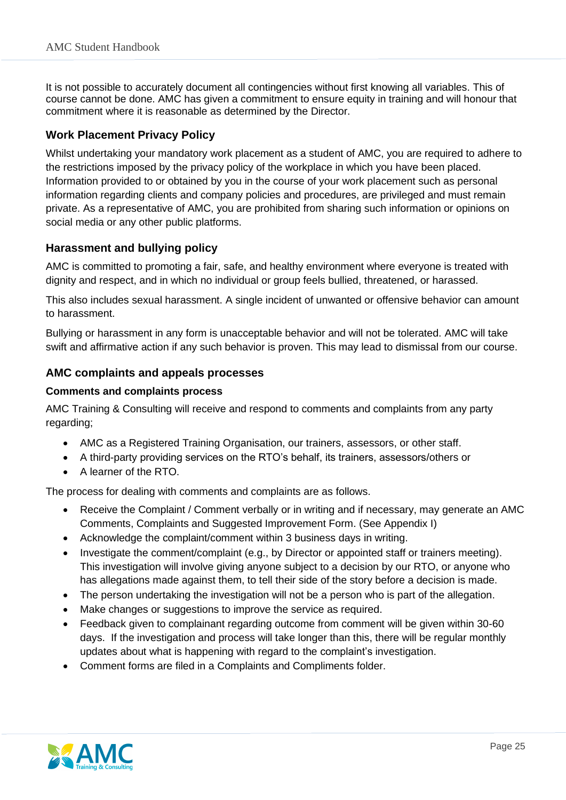It is not possible to accurately document all contingencies without first knowing all variables. This of course cannot be done. AMC has given a commitment to ensure equity in training and will honour that commitment where it is reasonable as determined by the Director.

#### **Work Placement Privacy Policy**

Whilst undertaking your mandatory work placement as a student of AMC, you are required to adhere to the restrictions imposed by the privacy policy of the workplace in which you have been placed. Information provided to or obtained by you in the course of your work placement such as personal information regarding clients and company policies and procedures, are privileged and must remain private. As a representative of AMC, you are prohibited from sharing such information or opinions on social media or any other public platforms.

#### <span id="page-24-0"></span>**Harassment and bullying policy**

AMC is committed to promoting a fair, safe, and healthy environment where everyone is treated with dignity and respect, and in which no individual or group feels bullied, threatened, or harassed.

This also includes sexual harassment. A single incident of unwanted or offensive behavior can amount to harassment.

Bullying or harassment in any form is unacceptable behavior and will not be tolerated. AMC will take swift and affirmative action if any such behavior is proven. This may lead to dismissal from our course.

#### <span id="page-24-1"></span>**AMC complaints and appeals processes**

#### **Comments and complaints process**

AMC Training & Consulting will receive and respond to comments and complaints from any party regarding;

- AMC as a Registered Training Organisation, our trainers, assessors, or other staff.
- A third-party providing services on the RTO's behalf, its trainers, assessors/others or
- A learner of the RTO.

The process for dealing with comments and complaints are as follows.

- Receive the Complaint / Comment verbally or in writing and if necessary, may generate an AMC Comments, Complaints and Suggested Improvement Form. (See Appendix I)
- Acknowledge the complaint/comment within 3 business days in writing.
- Investigate the comment/complaint (e.g., by Director or appointed staff or trainers meeting). This investigation will involve giving anyone subject to a decision by our RTO, or anyone who has allegations made against them, to tell their side of the story before a decision is made.
- The person undertaking the investigation will not be a person who is part of the allegation.
- Make changes or suggestions to improve the service as required.
- Feedback given to complainant regarding outcome from comment will be given within 30-60 days. If the investigation and process will take longer than this, there will be regular monthly updates about what is happening with regard to the complaint's investigation.
- Comment forms are filed in a Complaints and Compliments folder.

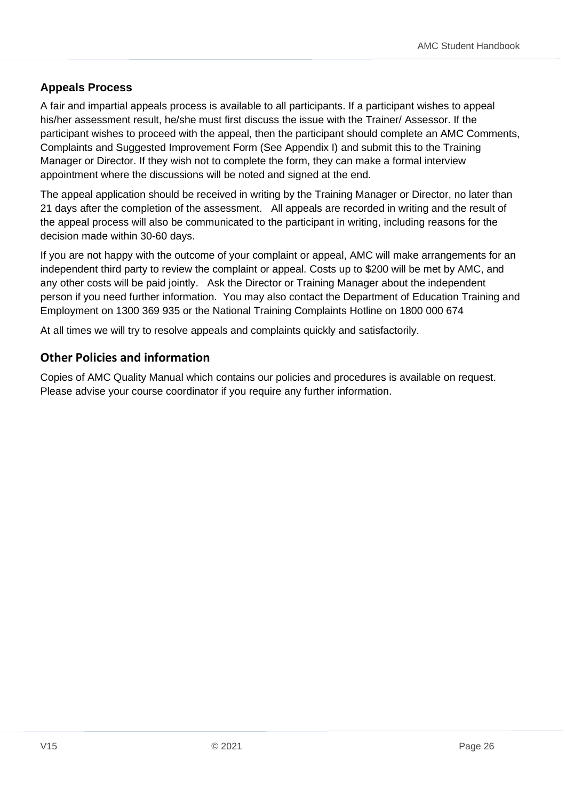#### **Appeals Process**

A fair and impartial appeals process is available to all participants. If a participant wishes to appeal his/her assessment result, he/she must first discuss the issue with the Trainer/ Assessor. If the participant wishes to proceed with the appeal, then the participant should complete an AMC Comments, Complaints and Suggested Improvement Form (See Appendix I) and submit this to the Training Manager or Director. If they wish not to complete the form, they can make a formal interview appointment where the discussions will be noted and signed at the end.

The appeal application should be received in writing by the Training Manager or Director, no later than 21 days after the completion of the assessment. All appeals are recorded in writing and the result of the appeal process will also be communicated to the participant in writing, including reasons for the decision made within 30-60 days.

If you are not happy with the outcome of your complaint or appeal, AMC will make arrangements for an independent third party to review the complaint or appeal. Costs up to \$200 will be met by AMC, and any other costs will be paid jointly. Ask the Director or Training Manager about the independent person if you need further information. You may also contact the Department of Education Training and Employment on 1300 369 935 or the National Training Complaints Hotline on 1800 000 674

At all times we will try to resolve appeals and complaints quickly and satisfactorily.

#### <span id="page-25-0"></span>**Other Policies and information**

Copies of AMC Quality Manual which contains our policies and procedures is available on request. Please advise your course coordinator if you require any further information.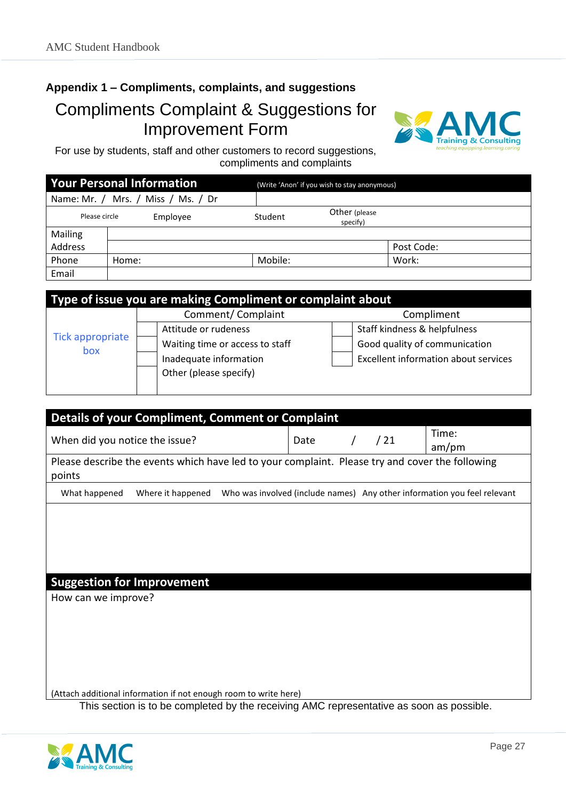## <span id="page-26-0"></span>**Appendix 1 – Compliments, complaints, and suggestions**  Compliments Complaint & Suggestions for Improvement Form



For use by students, staff and other customers to record suggestions, compliments and complaints

|               | <b>Your Personal Information</b>   |         | (Write 'Anon' if you wish to stay anonymous) |            |  |  |
|---------------|------------------------------------|---------|----------------------------------------------|------------|--|--|
|               | Name: Mr. / Mrs. / Miss / Ms. / Dr |         |                                              |            |  |  |
| Please circle | Employee                           | Student | Other (please<br>specify)                    |            |  |  |
| Mailing       |                                    |         |                                              |            |  |  |
| Address       |                                    |         |                                              | Post Code: |  |  |
| Phone         | Home:                              | Mobile: |                                              | Work:      |  |  |
| Email         |                                    |         |                                              |            |  |  |

| Type of issue you are making Compliment or complaint about |                                 |                                             |  |  |
|------------------------------------------------------------|---------------------------------|---------------------------------------------|--|--|
|                                                            | Comment/Complaint               | Compliment                                  |  |  |
|                                                            | Attitude or rudeness            | Staff kindness & helpfulness                |  |  |
| <b>Tick appropriate</b>                                    | Waiting time or access to staff | Good quality of communication               |  |  |
| box                                                        | Inadequate information          | <b>Excellent information about services</b> |  |  |
|                                                            | Other (please specify)          |                                             |  |  |
|                                                            |                                 |                                             |  |  |

| <b>Details of your Compliment, Comment or Complaint</b>                                                   |                   |      |            |     |       |                                                                          |
|-----------------------------------------------------------------------------------------------------------|-------------------|------|------------|-----|-------|--------------------------------------------------------------------------|
| When did you notice the issue?                                                                            |                   | Date | $\sqrt{2}$ | /21 | Time: |                                                                          |
|                                                                                                           |                   |      |            |     |       | am/pm                                                                    |
| Please describe the events which have led to your complaint. Please try and cover the following<br>points |                   |      |            |     |       |                                                                          |
|                                                                                                           |                   |      |            |     |       |                                                                          |
| What happened                                                                                             | Where it happened |      |            |     |       | Who was involved (include names) Any other information you feel relevant |
|                                                                                                           |                   |      |            |     |       |                                                                          |
|                                                                                                           |                   |      |            |     |       |                                                                          |
|                                                                                                           |                   |      |            |     |       |                                                                          |
|                                                                                                           |                   |      |            |     |       |                                                                          |
|                                                                                                           |                   |      |            |     |       |                                                                          |
| <b>Suggestion for Improvement</b>                                                                         |                   |      |            |     |       |                                                                          |
| How can we improve?                                                                                       |                   |      |            |     |       |                                                                          |
|                                                                                                           |                   |      |            |     |       |                                                                          |
|                                                                                                           |                   |      |            |     |       |                                                                          |
|                                                                                                           |                   |      |            |     |       |                                                                          |
|                                                                                                           |                   |      |            |     |       |                                                                          |
|                                                                                                           |                   |      |            |     |       |                                                                          |
|                                                                                                           |                   |      |            |     |       |                                                                          |
| (Attach additional information if not enough room to write here)                                          |                   |      |            |     |       |                                                                          |
|                                                                                                           |                   |      |            |     |       |                                                                          |

This section is to be completed by the receiving AMC representative as soon as possible.

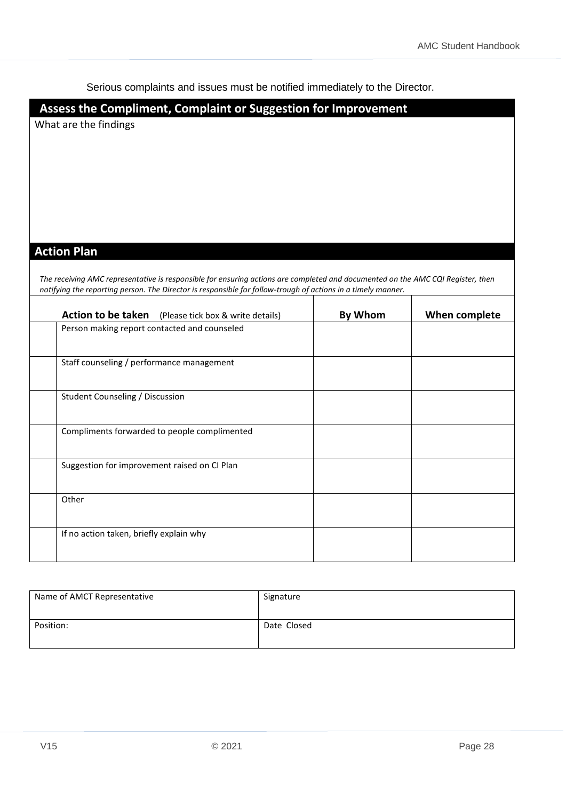Serious complaints and issues must be notified immediately to the Director.

### **Assess the Compliment, Complaint or Suggestion for Improvement**

What are the findings

#### **Action Plan**

*The receiving AMC representative is responsible for ensuring actions are completed and documented on the AMC CQI Register, then notifying the reporting person. The Director is responsible for follow-trough of actions in a timely manner.* 

| <b>Action to be taken</b> (Please tick box & write details) | By Whom | When complete |
|-------------------------------------------------------------|---------|---------------|
| Person making report contacted and counseled                |         |               |
| Staff counseling / performance management                   |         |               |
| <b>Student Counseling / Discussion</b>                      |         |               |
| Compliments forwarded to people complimented                |         |               |
| Suggestion for improvement raised on CI Plan                |         |               |
| Other                                                       |         |               |
| If no action taken, briefly explain why                     |         |               |

| Name of AMCT Representative | Signature   |
|-----------------------------|-------------|
| Position:                   | Date Closed |